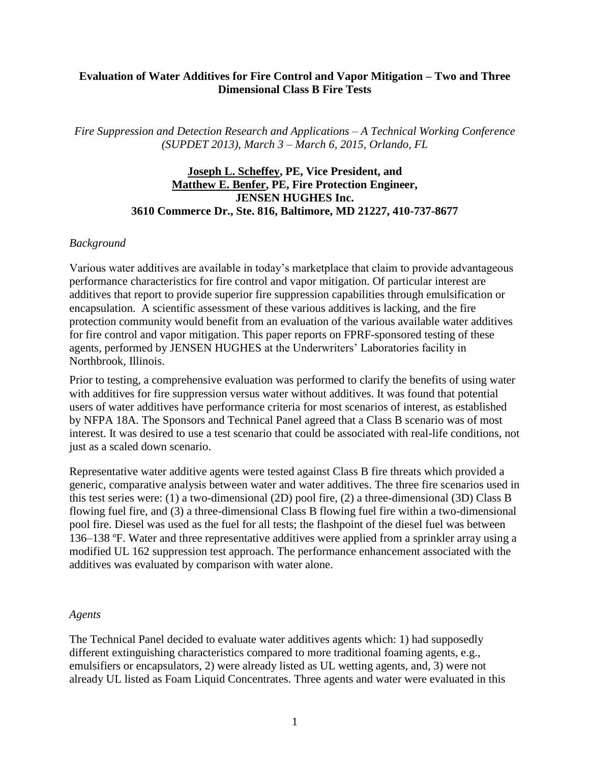### **Evaluation of Water Additives for Fire Control and Vapor Mitigation – Two and Three Dimensional Class B Fire Tests**

*Fire Suppression and Detection Research and Applications – A Technical Working Conference (SUPDET 2013), March 3 – March 6, 2015, Orlando, FL*

## **Joseph L. Scheffey, PE, Vice President, and Matthew E. Benfer, PE, Fire Protection Engineer, JENSEN HUGHES Inc. 3610 Commerce Dr., Ste. 816, Baltimore, MD 21227, 410-737-8677**

#### *Background*

Various water additives are available in today's marketplace that claim to provide advantageous performance characteristics for fire control and vapor mitigation. Of particular interest are additives that report to provide superior fire suppression capabilities through emulsification or encapsulation. A scientific assessment of these various additives is lacking, and the fire protection community would benefit from an evaluation of the various available water additives for fire control and vapor mitigation. This paper reports on FPRF-sponsored testing of these agents, performed by JENSEN HUGHES at the Underwriters' Laboratories facility in Northbrook, Illinois.

Prior to testing, a comprehensive evaluation was performed to clarify the benefits of using water with additives for fire suppression versus water without additives. It was found that potential users of water additives have performance criteria for most scenarios of interest, as established by NFPA 18A. The Sponsors and Technical Panel agreed that a Class B scenario was of most interest. It was desired to use a test scenario that could be associated with real-life conditions, not just as a scaled down scenario.

Representative water additive agents were tested against Class B fire threats which provided a generic, comparative analysis between water and water additives. The three fire scenarios used in this test series were: (1) a two-dimensional (2D) pool fire, (2) a three-dimensional (3D) Class B flowing fuel fire, and (3) a three-dimensional Class B flowing fuel fire within a two-dimensional pool fire. Diesel was used as the fuel for all tests; the flashpoint of the diesel fuel was between 136–138 ºF. Water and three representative additives were applied from a sprinkler array using a modified UL 162 suppression test approach. The performance enhancement associated with the additives was evaluated by comparison with water alone.

#### *Agents*

The Technical Panel decided to evaluate water additives agents which: 1) had supposedly different extinguishing characteristics compared to more traditional foaming agents, e.g., emulsifiers or encapsulators, 2) were already listed as UL wetting agents, and, 3) were not already UL listed as Foam Liquid Concentrates. Three agents and water were evaluated in this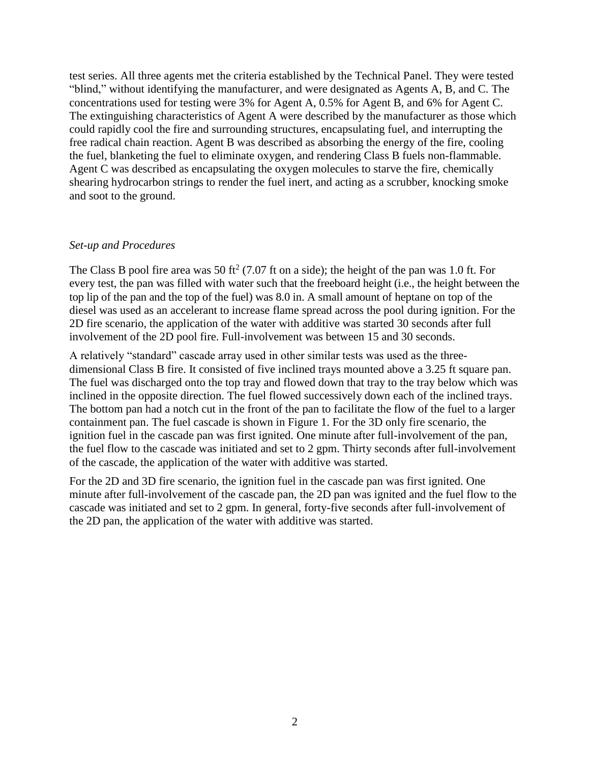test series. All three agents met the criteria established by the Technical Panel. They were tested "blind," without identifying the manufacturer, and were designated as Agents A, B, and C. The concentrations used for testing were 3% for Agent A, 0.5% for Agent B, and 6% for Agent C. The extinguishing characteristics of Agent A were described by the manufacturer as those which could rapidly cool the fire and surrounding structures, encapsulating fuel, and interrupting the free radical chain reaction. Agent B was described as absorbing the energy of the fire, cooling the fuel, blanketing the fuel to eliminate oxygen, and rendering Class B fuels non-flammable. Agent C was described as encapsulating the oxygen molecules to starve the fire, chemically shearing hydrocarbon strings to render the fuel inert, and acting as a scrubber, knocking smoke and soot to the ground.

#### *Set-up and Procedures*

The Class B pool fire area was 50 ft<sup>2</sup> (7.07 ft on a side); the height of the pan was 1.0 ft. For every test, the pan was filled with water such that the freeboard height (i.e., the height between the top lip of the pan and the top of the fuel) was 8.0 in. A small amount of heptane on top of the diesel was used as an accelerant to increase flame spread across the pool during ignition. For the 2D fire scenario, the application of the water with additive was started 30 seconds after full involvement of the 2D pool fire. Full-involvement was between 15 and 30 seconds.

A relatively "standard" cascade array used in other similar tests was used as the threedimensional Class B fire. It consisted of five inclined trays mounted above a 3.25 ft square pan. The fuel was discharged onto the top tray and flowed down that tray to the tray below which was inclined in the opposite direction. The fuel flowed successively down each of the inclined trays. The bottom pan had a notch cut in the front of the pan to facilitate the flow of the fuel to a larger containment pan. The fuel cascade is shown in Figure 1. For the 3D only fire scenario, the ignition fuel in the cascade pan was first ignited. One minute after full-involvement of the pan, the fuel flow to the cascade was initiated and set to 2 gpm. Thirty seconds after full-involvement of the cascade, the application of the water with additive was started.

For the 2D and 3D fire scenario, the ignition fuel in the cascade pan was first ignited. One minute after full-involvement of the cascade pan, the 2D pan was ignited and the fuel flow to the cascade was initiated and set to 2 gpm. In general, forty-five seconds after full-involvement of the 2D pan, the application of the water with additive was started.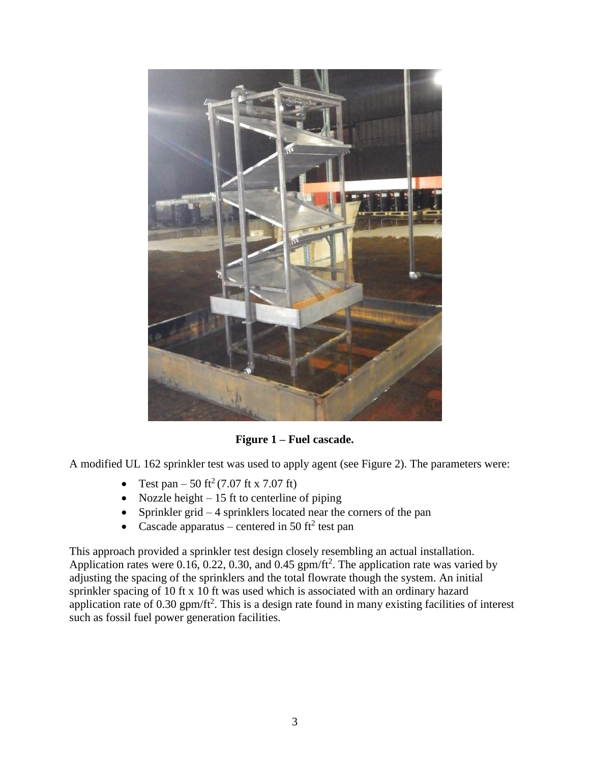

**Figure 1 – Fuel cascade.**

A modified UL 162 sprinkler test was used to apply agent (see Figure 2). The parameters were:

- Test pan 50 ft<sup>2</sup> (7.07 ft x 7.07 ft)
- Nozzle height  $-15$  ft to centerline of piping
- Sprinkler grid  $-4$  sprinklers located near the corners of the pan
- Cascade apparatus centered in 50 ft<sup>2</sup> test pan

This approach provided a sprinkler test design closely resembling an actual installation. Application rates were  $0.16, 0.22, 0.30,$  and  $0.45$  gpm/ft<sup>2</sup>. The application rate was varied by adjusting the spacing of the sprinklers and the total flowrate though the system. An initial sprinkler spacing of 10 ft x 10 ft was used which is associated with an ordinary hazard application rate of 0.30 gpm/ft<sup>2</sup>. This is a design rate found in many existing facilities of interest such as fossil fuel power generation facilities.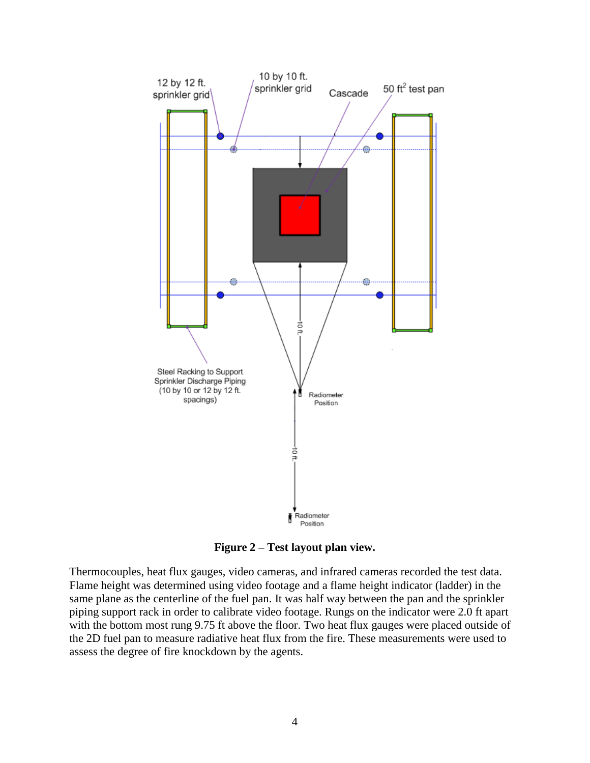

**Figure 2 – Test layout plan view.**

Thermocouples, heat flux gauges, video cameras, and infrared cameras recorded the test data. Flame height was determined using video footage and a flame height indicator (ladder) in the same plane as the centerline of the fuel pan. It was half way between the pan and the sprinkler piping support rack in order to calibrate video footage. Rungs on the indicator were 2.0 ft apart with the bottom most rung 9.75 ft above the floor. Two heat flux gauges were placed outside of the 2D fuel pan to measure radiative heat flux from the fire. These measurements were used to assess the degree of fire knockdown by the agents.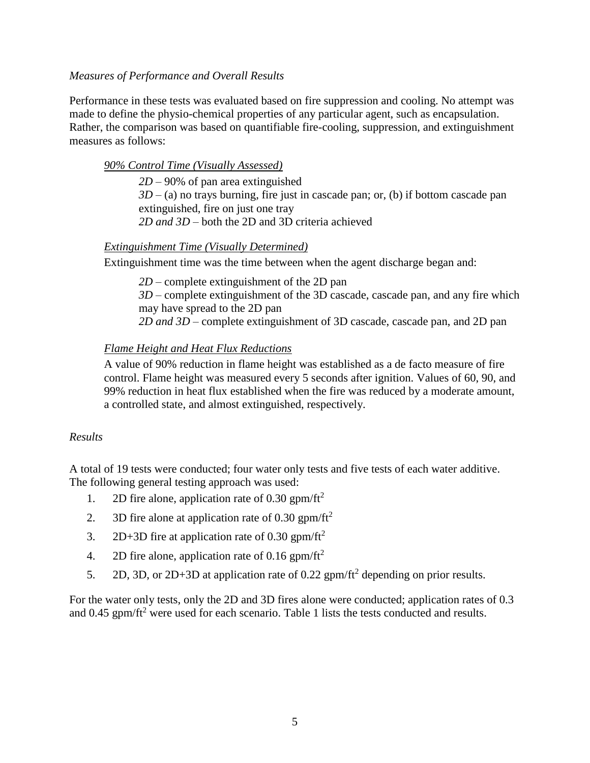### *Measures of Performance and Overall Results*

Performance in these tests was evaluated based on fire suppression and cooling. No attempt was made to define the physio-chemical properties of any particular agent, such as encapsulation. Rather, the comparison was based on quantifiable fire-cooling, suppression, and extinguishment measures as follows:

### *90% Control Time (Visually Assessed)*

*2D* – 90% of pan area extinguished *3D* – (a) no trays burning, fire just in cascade pan; or, (b) if bottom cascade pan extinguished, fire on just one tray *2D and 3D* – both the 2D and 3D criteria achieved

#### *Extinguishment Time (Visually Determined)*

Extinguishment time was the time between when the agent discharge began and:

*2D* – complete extinguishment of the 2D pan *3D* – complete extinguishment of the 3D cascade, cascade pan, and any fire which may have spread to the 2D pan *2D and 3D* – complete extinguishment of 3D cascade, cascade pan, and 2D pan

# *Flame Height and Heat Flux Reductions*

A value of 90% reduction in flame height was established as a de facto measure of fire control. Flame height was measured every 5 seconds after ignition. Values of 60, 90, and 99% reduction in heat flux established when the fire was reduced by a moderate amount, a controlled state, and almost extinguished, respectively.

# *Results*

A total of 19 tests were conducted; four water only tests and five tests of each water additive. The following general testing approach was used:

- 1. 2D fire alone, application rate of 0.30 gpm/ft<sup>2</sup>
- 2. 3D fire alone at application rate of 0.30 gpm/ft<sup>2</sup>
- 3. 2D+3D fire at application rate of 0.30 gpm/ft<sup>2</sup>
- 4. 2D fire alone, application rate of 0.16 gpm/ft<sup>2</sup>
- 5. 2D, 3D, or 2D+3D at application rate of 0.22 gpm/ft<sup>2</sup> depending on prior results.

For the water only tests, only the 2D and 3D fires alone were conducted; application rates of 0.3 and  $0.45$  gpm/ft<sup>2</sup> were used for each scenario. Table 1 lists the tests conducted and results.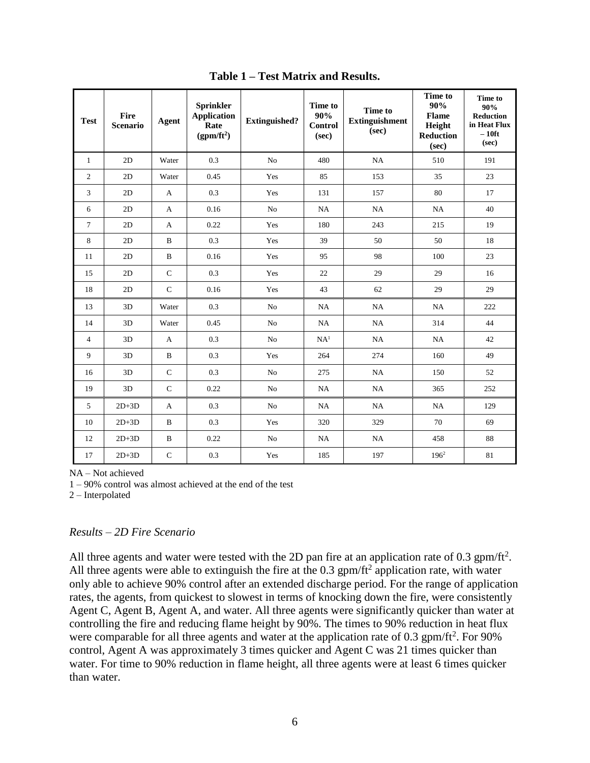| <b>Test</b>    | Fire<br><b>Scenario</b> | <b>Agent</b> | <b>Sprinkler</b><br><b>Application</b><br>Rate<br>(gpm/ft <sup>2</sup> ) | <b>Extinguished?</b> | Time to<br>90%<br><b>Control</b><br>(sec) | <b>Time to</b><br><b>Extinguishment</b><br>(sec) | Time to<br>90%<br>Flame<br>Height<br><b>Reduction</b><br>(sec) | Time to<br>90%<br><b>Reduction</b><br>in Heat Flux<br>$-10$ ft<br>(sec) |
|----------------|-------------------------|--------------|--------------------------------------------------------------------------|----------------------|-------------------------------------------|--------------------------------------------------|----------------------------------------------------------------|-------------------------------------------------------------------------|
| $\mathbf{1}$   | 2D                      | Water        | 0.3                                                                      | No                   | 480                                       | NA                                               | 510                                                            | 191                                                                     |
| 2              | 2D                      | Water        | 0.45                                                                     | Yes                  | 85                                        | 153                                              | 35                                                             | 23                                                                      |
| 3              | 2D                      | A            | 0.3                                                                      | Yes                  | 131                                       | 157                                              | 80                                                             | 17                                                                      |
| 6              | 2D                      | A            | 0.16                                                                     | N <sub>o</sub>       | NA                                        | NA                                               | NA                                                             | 40                                                                      |
| $\overline{7}$ | 2D                      | A            | 0.22                                                                     | Yes                  | 180                                       | 243                                              | 215                                                            | 19                                                                      |
| 8              | 2D                      | $\, {\bf B}$ | 0.3                                                                      | Yes                  | 39                                        | 50                                               | 50                                                             | 18                                                                      |
| 11             | 2D                      | $\bf{B}$     | 0.16                                                                     | Yes                  | 95                                        | 98                                               | 100                                                            | 23                                                                      |
| 15             | 2D                      | $\mathsf{C}$ | 0.3                                                                      | Yes                  | 22                                        | 29                                               | 29                                                             | 16                                                                      |
| 18             | 2D                      | $\mathsf{C}$ | 0.16                                                                     | Yes                  | 43                                        | 62                                               | 29                                                             | 29                                                                      |
| 13             | 3D                      | Water        | 0.3                                                                      | N <sub>o</sub>       | NA                                        | NA                                               | NA                                                             | 222                                                                     |
| 14             | 3D                      | Water        | 0.45                                                                     | No                   | NA                                        | $\rm NA$                                         | 314                                                            | 44                                                                      |
| $\overline{4}$ | 3D                      | A            | 0.3                                                                      | N <sub>o</sub>       | NA <sup>1</sup>                           | NA                                               | NA                                                             | 42                                                                      |
| 9              | 3D                      | $\, {\bf B}$ | 0.3                                                                      | Yes                  | 264                                       | 274                                              | 160                                                            | 49                                                                      |
| 16             | 3D                      | $\mathsf{C}$ | 0.3                                                                      | N <sub>o</sub>       | 275                                       | NA                                               | 150                                                            | 52                                                                      |
| 19             | 3D                      | $\mathbf C$  | 0.22                                                                     | No                   | NA                                        | $\rm NA$                                         | 365                                                            | 252                                                                     |
| 5              | $2D+3D$                 | A            | 0.3                                                                      | No                   | NA                                        | NA                                               | NA                                                             | 129                                                                     |
| 10             | $2D+3D$                 | B            | 0.3                                                                      | Yes                  | 320                                       | 329                                              | 70                                                             | 69                                                                      |
| 12             | $2D+3D$                 | $\, {\bf B}$ | 0.22                                                                     | No                   | NA                                        | $\rm NA$                                         | 458                                                            | 88                                                                      |
| 17             | $2D+3D$                 | $\mathsf{C}$ | 0.3                                                                      | Yes                  | 185                                       | 197                                              | $196^2$                                                        | 81                                                                      |

**Table 1 – Test Matrix and Results.**

NA – Not achieved

1 – 90% control was almost achieved at the end of the test

2 – Interpolated

#### *Results – 2D Fire Scenario*

All three agents and water were tested with the 2D pan fire at an application rate of 0.3 gpm/ft<sup>2</sup>. All three agents were able to extinguish the fire at the  $0.3$  gpm/ft<sup>2</sup> application rate, with water only able to achieve 90% control after an extended discharge period. For the range of application rates, the agents, from quickest to slowest in terms of knocking down the fire, were consistently Agent C, Agent B, Agent A, and water. All three agents were significantly quicker than water at controlling the fire and reducing flame height by 90%. The times to 90% reduction in heat flux were comparable for all three agents and water at the application rate of 0.3 gpm/ft<sup>2</sup>. For 90% control, Agent A was approximately 3 times quicker and Agent C was 21 times quicker than water. For time to 90% reduction in flame height, all three agents were at least 6 times quicker than water.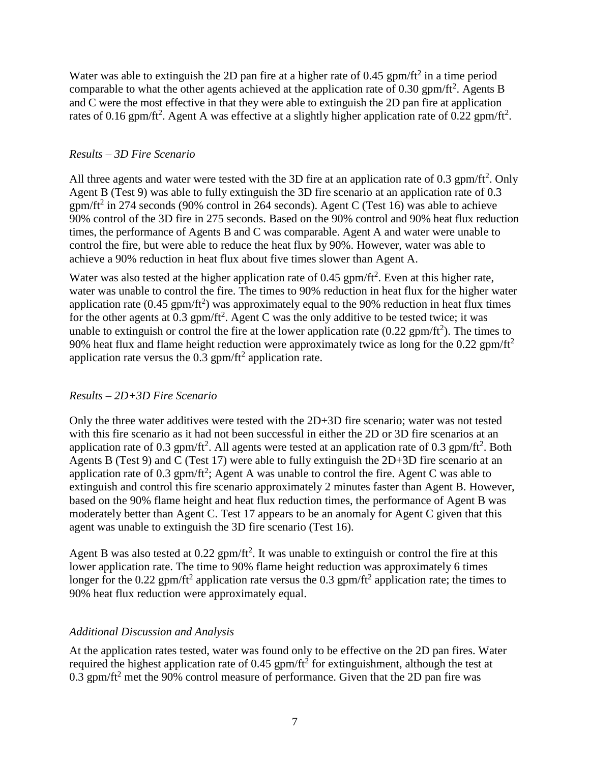Water was able to extinguish the 2D pan fire at a higher rate of 0.45 gpm/ft<sup>2</sup> in a time period comparable to what the other agents achieved at the application rate of 0.30 gpm/ft<sup>2</sup>. Agents B and C were the most effective in that they were able to extinguish the 2D pan fire at application rates of 0.16 gpm/ft<sup>2</sup>. Agent A was effective at a slightly higher application rate of 0.22 gpm/ft<sup>2</sup>.

### *Results – 3D Fire Scenario*

All three agents and water were tested with the 3D fire at an application rate of 0.3 gpm/ft<sup>2</sup>. Only Agent B (Test 9) was able to fully extinguish the 3D fire scenario at an application rate of 0.3  $gpm/ft<sup>2</sup>$  in 274 seconds (90% control in 264 seconds). Agent C (Test 16) was able to achieve 90% control of the 3D fire in 275 seconds. Based on the 90% control and 90% heat flux reduction times, the performance of Agents B and C was comparable. Agent A and water were unable to control the fire, but were able to reduce the heat flux by 90%. However, water was able to achieve a 90% reduction in heat flux about five times slower than Agent A.

Water was also tested at the higher application rate of  $0.45$  gpm/ft<sup>2</sup>. Even at this higher rate, water was unable to control the fire. The times to 90% reduction in heat flux for the higher water application rate  $(0.45 \text{ gpm/ft}^2)$  was approximately equal to the 90% reduction in heat flux times for the other agents at 0.3 gpm/ft<sup>2</sup>. Agent C was the only additive to be tested twice; it was unable to extinguish or control the fire at the lower application rate  $(0.22 \text{ gpm/ft}^2)$ . The times to 90% heat flux and flame height reduction were approximately twice as long for the 0.22 gpm/ft<sup>2</sup> application rate versus the  $0.3$  gpm/ft<sup>2</sup> application rate.

# *Results – 2D+3D Fire Scenario*

Only the three water additives were tested with the 2D+3D fire scenario; water was not tested with this fire scenario as it had not been successful in either the 2D or 3D fire scenarios at an application rate of 0.3 gpm/ft<sup>2</sup>. All agents were tested at an application rate of 0.3 gpm/ft<sup>2</sup>. Both Agents B (Test 9) and C (Test 17) were able to fully extinguish the 2D+3D fire scenario at an application rate of 0.3 gpm/ft<sup>2</sup>; Agent A was unable to control the fire. Agent C was able to extinguish and control this fire scenario approximately 2 minutes faster than Agent B. However, based on the 90% flame height and heat flux reduction times, the performance of Agent B was moderately better than Agent C. Test 17 appears to be an anomaly for Agent C given that this agent was unable to extinguish the 3D fire scenario (Test 16).

Agent B was also tested at  $0.22$  gpm/ft<sup>2</sup>. It was unable to extinguish or control the fire at this lower application rate. The time to 90% flame height reduction was approximately 6 times longer for the 0.22 gpm/ft<sup>2</sup> application rate versus the 0.3 gpm/ft<sup>2</sup> application rate; the times to 90% heat flux reduction were approximately equal.

# *Additional Discussion and Analysis*

At the application rates tested, water was found only to be effective on the 2D pan fires. Water required the highest application rate of  $0.45$  gpm/ft<sup>2</sup> for extinguishment, although the test at  $0.3$  gpm/ft<sup>2</sup> met the 90% control measure of performance. Given that the 2D pan fire was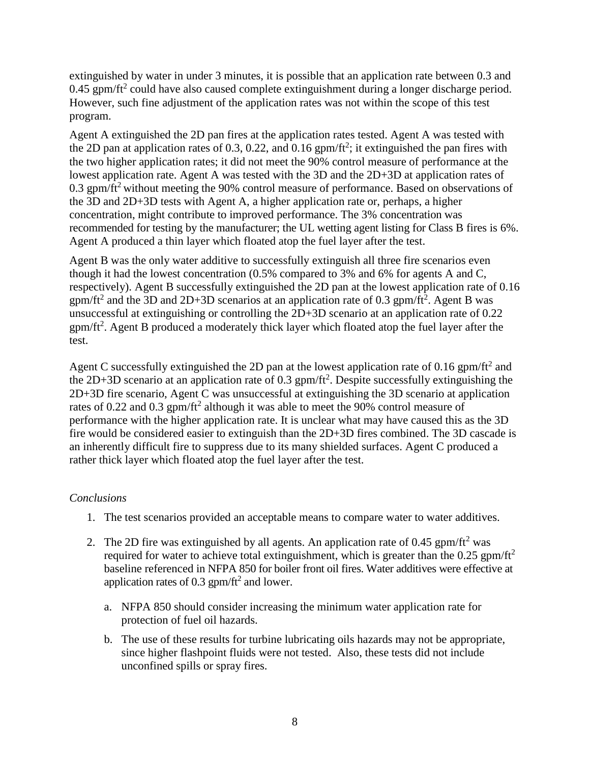extinguished by water in under 3 minutes, it is possible that an application rate between 0.3 and 0.45 gpm/ft<sup>2</sup> could have also caused complete extinguishment during a longer discharge period. However, such fine adjustment of the application rates was not within the scope of this test program.

Agent A extinguished the 2D pan fires at the application rates tested. Agent A was tested with the 2D pan at application rates of 0.3, 0.22, and 0.16 gpm/ $\text{ft}^2$ ; it extinguished the pan fires with the two higher application rates; it did not meet the 90% control measure of performance at the lowest application rate. Agent A was tested with the 3D and the 2D+3D at application rates of 0.3 gpm/ft<sup>2</sup> without meeting the 90% control measure of performance. Based on observations of the 3D and 2D+3D tests with Agent A, a higher application rate or, perhaps, a higher concentration, might contribute to improved performance. The 3% concentration was recommended for testing by the manufacturer; the UL wetting agent listing for Class B fires is 6%. Agent A produced a thin layer which floated atop the fuel layer after the test.

Agent B was the only water additive to successfully extinguish all three fire scenarios even though it had the lowest concentration (0.5% compared to 3% and 6% for agents A and C, respectively). Agent B successfully extinguished the 2D pan at the lowest application rate of 0.16  $gpm/ft<sup>2</sup>$  and the 3D and 2D+3D scenarios at an application rate of 0.3 gpm/ft<sup>2</sup>. Agent B was unsuccessful at extinguishing or controlling the 2D+3D scenario at an application rate of 0.22 gpm/ft<sup>2</sup>. Agent B produced a moderately thick layer which floated atop the fuel layer after the test.

Agent C successfully extinguished the 2D pan at the lowest application rate of  $0.16$  gpm/ft<sup>2</sup> and the 2D+3D scenario at an application rate of 0.3 gpm/ft<sup>2</sup>. Despite successfully extinguishing the 2D+3D fire scenario, Agent C was unsuccessful at extinguishing the 3D scenario at application rates of 0.22 and 0.3 gpm/ft<sup>2</sup> although it was able to meet the 90% control measure of performance with the higher application rate. It is unclear what may have caused this as the 3D fire would be considered easier to extinguish than the 2D+3D fires combined. The 3D cascade is an inherently difficult fire to suppress due to its many shielded surfaces. Agent C produced a rather thick layer which floated atop the fuel layer after the test.

# *Conclusions*

- 1. The test scenarios provided an acceptable means to compare water to water additives.
- 2. The 2D fire was extinguished by all agents. An application rate of 0.45 gpm/ft<sup>2</sup> was required for water to achieve total extinguishment, which is greater than the  $0.25$  gpm/ft<sup>2</sup> baseline referenced in NFPA 850 for boiler front oil fires. Water additives were effective at application rates of 0.3  $gpm/ft^2$  and lower.
	- a. NFPA 850 should consider increasing the minimum water application rate for protection of fuel oil hazards.
	- b. The use of these results for turbine lubricating oils hazards may not be appropriate, since higher flashpoint fluids were not tested. Also, these tests did not include unconfined spills or spray fires.